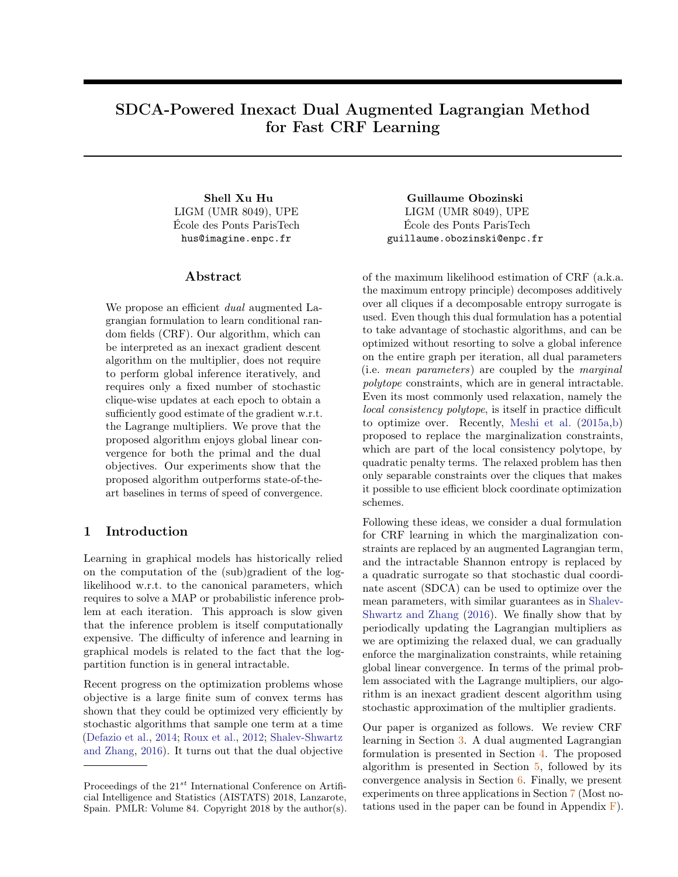# <span id="page-0-0"></span>SDCA-Powered Inexact Dual Augmented Lagrangian Method for Fast CRF Learning

LIGM (UMR 8049), UPE École des Ponts ParisTech hus@imagine.enpc.fr

# Abstract

We propose an efficient *dual* augmented Lagrangian formulation to learn conditional random fields (CRF). Our algorithm, which can be interpreted as an inexact gradient descent algorithm on the multiplier, does not require to perform global inference iteratively, and requires only a fixed number of stochastic clique-wise updates at each epoch to obtain a sufficiently good estimate of the gradient w.r.t. the Lagrange multipliers. We prove that the proposed algorithm enjoys global linear convergence for both the primal and the dual objectives. Our experiments show that the proposed algorithm outperforms state-of-theart baselines in terms of speed of convergence.

## 1 Introduction

Learning in graphical models has historically relied on the computation of the (sub)gradient of the loglikelihood w.r.t. to the canonical parameters, which requires to solve a MAP or probabilistic inference problem at each iteration. This approach is slow given that the inference problem is itself computationally expensive. The difficulty of inference and learning in graphical models is related to the fact that the logpartition function is in general intractable.

Recent progress on the optimization problems whose objective is a large finite sum of convex terms has shown that they could be optimized very efficiently by stochastic algorithms that sample one term at a time [\(Defazio et al.,](#page-8-0) [2014;](#page-8-0) [Roux et al.,](#page-8-1) [2012;](#page-8-1) [Shalev-Shwartz](#page-8-2) [and Zhang,](#page-8-2) [2016\)](#page-8-2). It turns out that the dual objective

Shell Xu Hu Guillaume Obozinski LIGM (UMR 8049), UPE École des Ponts ParisTech guillaume.obozinski@enpc.fr

> of the maximum likelihood estimation of CRF (a.k.a. the maximum entropy principle) decomposes additively over all cliques if a decomposable entropy surrogate is used. Even though this dual formulation has a potential to take advantage of stochastic algorithms, and can be optimized without resorting to solve a global inference on the entire graph per iteration, all dual parameters (i.e. mean parameters) are coupled by the marginal polytope constraints, which are in general intractable. Even its most commonly used relaxation, namely the local consistency polytope, is itself in practice difficult to optimize over. Recently, [Meshi et al.](#page-8-3) [\(2015a](#page-8-3)[,b\)](#page-8-4) proposed to replace the marginalization constraints, which are part of the local consistency polytope, by quadratic penalty terms. The relaxed problem has then only separable constraints over the cliques that makes it possible to use efficient block coordinate optimization schemes.

> Following these ideas, we consider a dual formulation for CRF learning in which the marginalization constraints are replaced by an augmented Lagrangian term, and the intractable Shannon entropy is replaced by a quadratic surrogate so that stochastic dual coordinate ascent (SDCA) can be used to optimize over the mean parameters, with similar guarantees as in [Shalev-](#page-8-2)[Shwartz and Zhang](#page-8-2) [\(2016\)](#page-8-2). We finally show that by periodically updating the Lagrangian multipliers as we are optimizing the relaxed dual, we can gradually enforce the marginalization constraints, while retaining global linear convergence. In terms of the primal problem associated with the Lagrange multipliers, our algorithm is an inexact gradient descent algorithm using stochastic approximation of the multiplier gradients.

> Our paper is organized as follows. We review CRF learning in Section [3.](#page-1-0) A dual augmented Lagrangian formulation is presented in Section [4.](#page-2-0) The proposed algorithm is presented in Section [5,](#page-3-0) followed by its convergence analysis in Section [6.](#page-4-0) Finally, we present experiments on three applications in Section [7](#page-5-0) (Most notations used in the paper can be found in Appendix  $\overline{F}$ ).

Proceedings of the  $21^{st}$  International Conference on Artificial Intelligence and Statistics (AISTATS) 2018, Lanzarote, Spain. PMLR: Volume 84. Copyright 2018 by the author(s).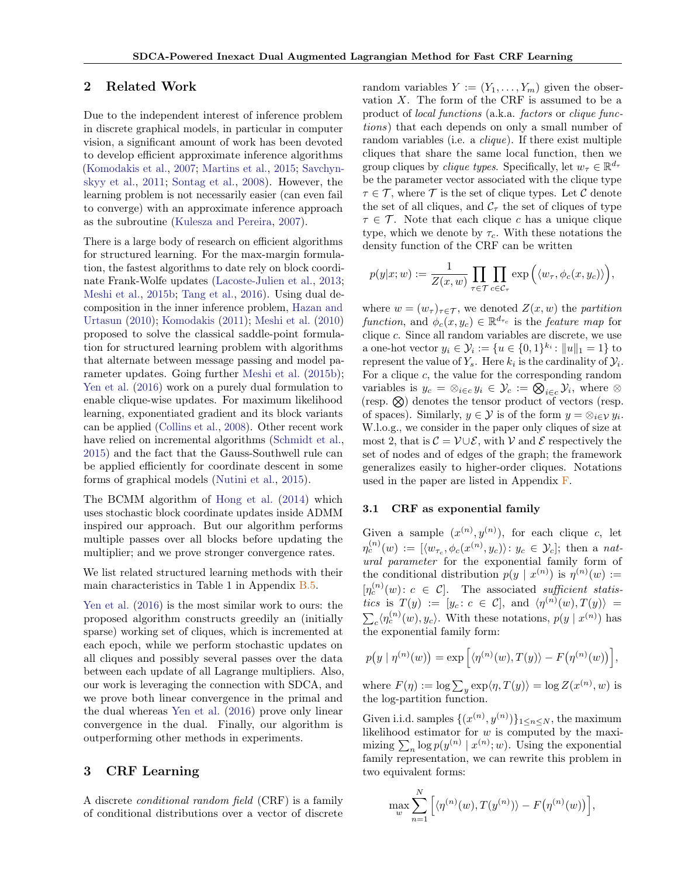# 2 Related Work

Due to the independent interest of inference problem in discrete graphical models, in particular in computer vision, a significant amount of work has been devoted to develop efficient approximate inference algorithms [\(Komodakis et al.,](#page-8-5) [2007;](#page-8-5) [Martins et al.,](#page-8-6) [2015;](#page-8-6) [Savchyn](#page-8-7)[skyy et al.,](#page-8-7) [2011;](#page-8-7) [Sontag et al.,](#page-9-0) [2008\)](#page-9-0). However, the learning problem is not necessarily easier (can even fail to converge) with an approximate inference approach as the subroutine [\(Kulesza and Pereira,](#page-8-8) [2007\)](#page-8-8).

There is a large body of research on efficient algorithms for structured learning. For the max-margin formulation, the fastest algorithms to date rely on block coordinate Frank-Wolfe updates [\(Lacoste-Julien et al.,](#page-8-9) [2013;](#page-8-9) [Meshi et al.,](#page-8-4) [2015b;](#page-8-4) [Tang et al.,](#page-9-1) [2016\)](#page-9-1). Using dual decomposition in the inner inference problem, [Hazan and](#page-8-10) [Urtasun](#page-8-10) [\(2010\)](#page-8-10); [Komodakis](#page-8-11) [\(2011\)](#page-8-11); [Meshi et al.](#page-8-12) [\(2010\)](#page-8-12) proposed to solve the classical saddle-point formulation for structured learning problem with algorithms that alternate between message passing and model parameter updates. Going further [Meshi et al.](#page-8-4) [\(2015b\)](#page-8-4); [Yen et al.](#page-9-2) [\(2016\)](#page-9-2) work on a purely dual formulation to enable clique-wise updates. For maximum likelihood learning, exponentiated gradient and its block variants can be applied [\(Collins et al.,](#page-8-13) [2008\)](#page-8-13). Other recent work have relied on incremental algorithms [\(Schmidt et al.,](#page-8-14) [2015\)](#page-8-14) and the fact that the Gauss-Southwell rule can be applied efficiently for coordinate descent in some forms of graphical models [\(Nutini et al.,](#page-8-15) [2015\)](#page-8-15).

The BCMM algorithm of [Hong et al.](#page-8-16) [\(2014\)](#page-8-16) which uses stochastic block coordinate updates inside ADMM inspired our approach. But our algorithm performs multiple passes over all blocks before updating the multiplier; and we prove stronger convergence rates.

We list related structured learning methods with their main characteristics in Table 1 in Appendix [B.5.](#page-0-0)

[Yen et al.](#page-9-2) [\(2016\)](#page-9-2) is the most similar work to ours: the proposed algorithm constructs greedily an (initially sparse) working set of cliques, which is incremented at each epoch, while we perform stochastic updates on all cliques and possibly several passes over the data between each update of all Lagrange multipliers. Also, our work is leveraging the connection with SDCA, and we prove both linear convergence in the primal and the dual whereas [Yen et al.](#page-9-2) [\(2016\)](#page-9-2) prove only linear convergence in the dual. Finally, our algorithm is outperforming other methods in experiments.

## <span id="page-1-0"></span>3 CRF Learning

A discrete conditional random field (CRF) is a family of conditional distributions over a vector of discrete random variables  $Y := (Y_1, \ldots, Y_m)$  given the observation  $X$ . The form of the CRF is assumed to be a product of local functions (a.k.a. factors or clique functions) that each depends on only a small number of random variables (i.e. a *clique*). If there exist multiple cliques that share the same local function, then we group cliques by *clique types*. Specifically, let  $w_{\tau} \in \mathbb{R}^{d_{\tau}}$ be the parameter vector associated with the clique type  $\tau \in \mathcal{T}$ , where  $\mathcal{T}$  is the set of clique types. Let C denote the set of all cliques, and  $\mathcal{C}_{\tau}$  the set of cliques of type  $\tau \in \mathcal{T}$ . Note that each clique c has a unique clique type, which we denote by  $\tau_c$ . With these notations the density function of the CRF can be written

$$
p(y|x; w) := \frac{1}{Z(x, w)} \prod_{\tau \in \mathcal{T}} \prod_{c \in \mathcal{C}_{\tau}} \exp (\langle w_{\tau}, \phi_c(x, y_c) \rangle),
$$

where  $w = (w_{\tau})_{\tau \in \mathcal{T}}$ , we denoted  $Z(x, w)$  the partition function, and  $\phi_c(x, y_c) \in \mathbb{R}^{d_{\tau_c}}$  is the feature map for clique c. Since all random variables are discrete, we use a one-hot vector  $y_i \in \mathcal{Y}_i := \{u \in \{0, 1\}^{k_i} : ||u||_1 = 1\}$  to represent the value of  $Y_s$ . Here  $k_i$  is the cardinality of  $\mathcal{Y}_i$ . For a clique  $c$ , the value for the corresponding random variables is  $y_c = \otimes_{i \in c} y_i \in \mathcal{Y}_c := \bigotimes_{i \in c} \mathcal{Y}_i$ , where  $\otimes$  $(resp. \&)$  denotes the tensor product of vectors (resp. of spaces). Similarly,  $y \in \mathcal{Y}$  is of the form  $y = \otimes_{i \in \mathcal{Y}} y_i$ . W.l.o.g., we consider in the paper only cliques of size at most 2, that is  $\mathcal{C} = \mathcal{V} \cup \mathcal{E}$ , with  $\mathcal{V}$  and  $\mathcal{E}$  respectively the set of nodes and of edges of the graph; the framework generalizes easily to higher-order cliques. Notations used in the paper are listed in Appendix [F.](#page-0-0)

#### 3.1 CRF as exponential family

Given a sample  $(x^{(n)}, y^{(n)})$ , for each clique c, let  $\eta_c^{(n)}(w) := [\langle w_{\tau_c}, \phi_c(x^{(n)}, y_c) \rangle : y_c \in \mathcal{Y}_c];$  then a natural parameter for the exponential family form of the conditional distribution  $p(y | x^{(n)})$  is  $\eta^{(n)}(w) :=$  $[\eta_c^{(n)}(w): c \in \mathcal{C}].$  The associated sufficient statistics is  $T(y) := [y_c : c \in \mathcal{C}],$  and  $\langle \eta^{(n)}(w), T(y) \rangle =$  $\sum_{c} \langle \eta_c^{(n)}(w), y_c \rangle$ . With these notations,  $p(y \mid x^{(n)})$  has the exponential family form:

$$
p(y | \eta^{(n)}(w)) = \exp \left[ \langle \eta^{(n)}(w), T(y) \rangle - F(\eta^{(n)}(w)) \right],
$$

where  $F(\eta) := \log \sum_{y} \exp \langle \eta, T(y) \rangle = \log Z(x^{(n)}, w)$  is the log-partition function.

Given i.i.d. samples  $\{(x^{(n)}, y^{(n)})\}_{1 \leq n \leq N}$ , the maximum likelihood estimator for  $w$  is computed by the maximizing  $\sum_n \log p(y^{(n)} | x^{(n)}; w)$ . Using the exponential family representation, we can rewrite this problem in two equivalent forms:

$$
\max_{w} \sum_{n=1}^{N} \Big[ \langle \eta^{(n)}(w), T(y^{(n)}) \rangle - F(\eta^{(n)}(w)) \Big],
$$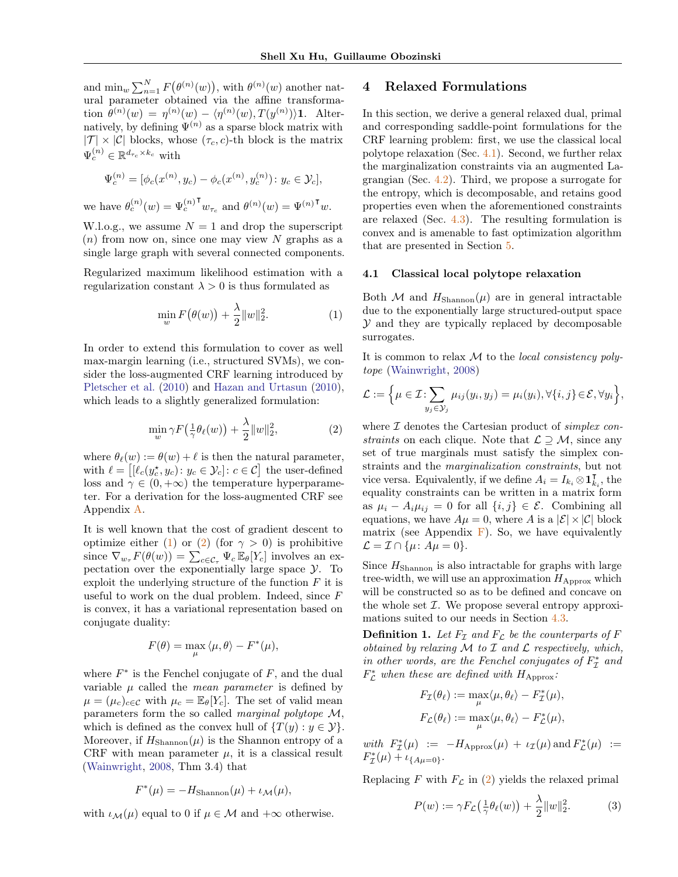and  $\min_{w} \sum_{n=1}^{N} F(\theta^{(n)}(w))$ , with  $\theta^{(n)}(w)$  another natural parameter obtained via the affine transformation  $\theta^{(n)}(w) = \eta^{(n)}(w) - \langle \eta^{(n)}(w), T(y^{(n)}) \rangle$ 1. Alternatively, by defining  $\Psi^{(n)}$  as a sparse block matrix with  $|\mathcal{T}| \times |\mathcal{C}|$  blocks, whose  $(\tau_c, c)$ -th block is the matrix  $\Psi_c^{(n)} \in \mathbb{R}^{d_{\tau_c} \times k_c}$  with

$$
\Psi_c^{(n)} = [\phi_c(x^{(n)}, y_c) - \phi_c(x^{(n)}, y_c^{(n)})\colon y_c \in \mathcal{Y}_c],
$$

we have  $\theta_c^{(n)}(w) = \Psi_c^{(n)}$  $^{\mathsf{T}} w_{\tau_c}$  and  $\theta^{(n)}(w) = \Psi^{(n)\mathsf{T}} w$ .

W.l.o.g., we assume  $N = 1$  and drop the superscript  $(n)$  from now on, since one may view N graphs as a single large graph with several connected components.

Regularized maximum likelihood estimation with a regularization constant  $\lambda > 0$  is thus formulated as

$$
\min_{w} F(\theta(w)) + \frac{\lambda}{2} ||w||_2^2.
$$
 (1)

In order to extend this formulation to cover as well max-margin learning (i.e., structured SVMs), we consider the loss-augmented CRF learning introduced by [Pletscher et al.](#page-8-17) [\(2010\)](#page-8-17) and [Hazan and Urtasun](#page-8-10) [\(2010\)](#page-8-10), which leads to a slightly generalized formulation:

$$
\min_{w} \gamma F(\frac{1}{\gamma} \theta_{\ell}(w)) + \frac{\lambda}{2} ||w||_2^2, \tag{2}
$$

where  $\theta_{\ell}(w) := \theta(w) + \ell$  is then the natural parameter, with  $\ell = \left[ [\ell_c(y_c^{\star}, y_c) \colon y_c \in \mathcal{Y}_c] : c \in \mathcal{C} \right]$  the user-defined loss and  $\gamma \in (0, +\infty)$  the temperature hyperparameter. For a derivation for the loss-augmented CRF see Appendix [A.](#page-0-0)

It is well known that the cost of gradient descent to optimize either [\(1\)](#page-2-1) or [\(2\)](#page-2-2) (for  $\gamma > 0$ ) is prohibitive since  $\nabla_{w_{\tau}} F(\theta(w)) = \sum_{c \in C_{\tau}} \Psi_c \mathbb{E}_{\theta}[Y_c]$  involves an expectation over the exponentially large space  $\mathcal{Y}$ . To exploit the underlying structure of the function  $F$  it is useful to work on the dual problem. Indeed, since  $F$ is convex, it has a variational representation based on conjugate duality:

$$
F(\theta) = \max_{\mu} \langle \mu, \theta \rangle - F^*(\mu),
$$

where  $F^*$  is the Fenchel conjugate of  $F$ , and the dual variable  $\mu$  called the *mean parameter* is defined by  $\mu = (\mu_c)_{c \in \mathcal{C}}$  with  $\mu_c = \mathbb{E}_{\theta}[Y_c]$ . The set of valid mean parameters form the so called marginal polytope M, which is defined as the convex hull of  $\{T(y): y \in \mathcal{Y}\}.$ Moreover, if  $H_{\mathrm{Shannon}}(\mu)$  is the Shannon entropy of a CRF with mean parameter  $\mu$ , it is a classical result [\(Wainwright,](#page-9-3) [2008,](#page-9-3) Thm 3.4) that

$$
F^*(\mu) = -H_{\text{Shannon}}(\mu) + \iota_{\mathcal{M}}(\mu),
$$

with  $\iota_{\mathcal{M}}(\mu)$  equal to 0 if  $\mu \in \mathcal{M}$  and  $+\infty$  otherwise.

# <span id="page-2-0"></span>4 Relaxed Formulations

In this section, we derive a general relaxed dual, primal and corresponding saddle-point formulations for the CRF learning problem: first, we use the classical local polytope relaxation (Sec. [4.1\)](#page-2-3). Second, we further relax the marginalization constraints via an augmented Lagrangian (Sec. [4.2\)](#page-3-1). Third, we propose a surrogate for the entropy, which is decomposable, and retains good properties even when the aforementioned constraints are relaxed (Sec.  $4.3$ ). The resulting formulation is convex and is amenable to fast optimization algorithm that are presented in Section [5.](#page-3-0)

#### <span id="page-2-3"></span>4.1 Classical local polytope relaxation

<span id="page-2-1"></span>Both M and  $H_{\text{Shannon}}(\mu)$  are in general intractable due to the exponentially large structured-output space  $Y$  and they are typically replaced by decomposable surrogates.

It is common to relax  $M$  to the *local consistency poly*tope [\(Wainwright,](#page-9-3) [2008\)](#page-9-3)

$$
\mathcal{L} := \Big\{ \mu \in \mathcal{I} : \sum_{y_j \in \mathcal{Y}_j} \mu_{ij}(y_i, y_j) = \mu_i(y_i), \forall \{i, j\} \in \mathcal{E}, \forall y_i \Big\},\
$$

<span id="page-2-2"></span>where  $\mathcal I$  denotes the Cartesian product of *simplex con*straints on each clique. Note that  $\mathcal{L} \supseteq \mathcal{M}$ , since any set of true marginals must satisfy the simplex constraints and the marginalization constraints, but not vice versa. Equivalently, if we define  $A_i = I_{k_i} \otimes \mathbf{1}_k^{\mathsf{T}}$  $_{k_i}^{\mathsf{T}},$  the equality constraints can be written in a matrix form as  $\mu_i - A_i \mu_{ij} = 0$  for all  $\{i, j\} \in \mathcal{E}$ . Combining all equations, we have  $A\mu = 0$ , where A is a  $|\mathcal{E}| \times |\mathcal{C}|$  block matrix (see Appendix  $\bf{F}$ ). So, we have equivalently  $\mathcal{L} = \mathcal{I} \cap \{\mu \colon A\mu = 0\}.$ 

Since  $H_{\text{Shannon}}$  is also intractable for graphs with large tree-width, we will use an approximation  $H_{\text{Approx}}$  which will be constructed so as to be defined and concave on the whole set  $I$ . We propose several entropy approximations suited to our needs in Section [4.3.](#page-3-2)

**Definition 1.** Let  $F<sub>T</sub>$  and  $F<sub>C</sub>$  be the counterparts of F obtained by relaxing  $\mathcal M$  to  $\mathcal I$  and  $\mathcal L$  respectively, which, in other words, are the Fenchel conjugates of  $F_{\mathcal{I}}^*$  and  $F_{\mathcal{L}}^*$  when these are defined with  $H_{\text{Approx}}$ :

$$
F_{\mathcal{I}}(\theta_{\ell}) := \max_{\mu} \langle \mu, \theta_{\ell} \rangle - F_{\mathcal{I}}^{*}(\mu),
$$
  

$$
F_{\mathcal{L}}(\theta_{\ell}) := \max_{\mu} \langle \mu, \theta_{\ell} \rangle - F_{\mathcal{L}}^{*}(\mu),
$$

with  $F_{\mathcal{I}}^*(\mu) := -H_{\mathrm{Approx}}(\mu) + \iota_{\mathcal{I}}(\mu) \text{ and } F_{\mathcal{L}}^*(\mu) :=$  $F_{\mathcal{I}}^{*}(\mu) + \iota_{\{A\mu=0\}}.$ 

Replacing F with  $F_{\mathcal{L}}$  in [\(2\)](#page-2-2) yields the relaxed primal

$$
P(w) := \gamma F_{\mathcal{L}}\left(\frac{1}{\gamma}\theta_{\ell}(w)\right) + \frac{\lambda}{2}||w||_2^2.
$$
 (3)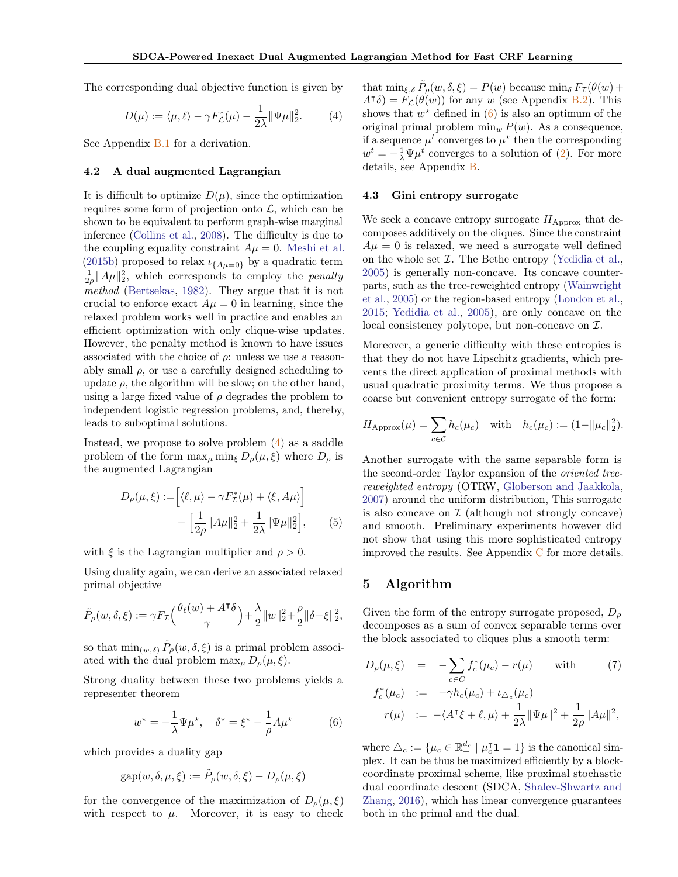The corresponding dual objective function is given by

$$
D(\mu) := \langle \mu, \ell \rangle - \gamma F_{\mathcal{L}}^*(\mu) - \frac{1}{2\lambda} \|\Psi \mu\|_2^2.
$$
 (4)

See Appendix **[B.1](#page-0-0)** for a derivation.

#### <span id="page-3-1"></span>4.2 A dual augmented Lagrangian

It is difficult to optimize  $D(\mu)$ , since the optimization requires some form of projection onto  $\mathcal{L}$ , which can be shown to be equivalent to perform graph-wise marginal inference [\(Collins et al.,](#page-8-13) [2008\)](#page-8-13). The difficulty is due to the coupling equality constraint  $A\mu = 0$ . [Meshi et al.](#page-8-4) [\(2015b\)](#page-8-4) proposed to relax  $\iota_{A\mu=0}$  by a quadratic term  $\frac{1}{2\rho} ||A\mu||_2^2$ , which corresponds to employ the *penalty* method [\(Bertsekas,](#page-8-18) [1982\)](#page-8-18). They argue that it is not crucial to enforce exact  $A\mu = 0$  in learning, since the relaxed problem works well in practice and enables an efficient optimization with only clique-wise updates. However, the penalty method is known to have issues associated with the choice of  $\rho$ : unless we use a reasonably small  $\rho$ , or use a carefully designed scheduling to update  $\rho$ , the algorithm will be slow; on the other hand, using a large fixed value of  $\rho$  degrades the problem to independent logistic regression problems, and, thereby, leads to suboptimal solutions.

Instead, we propose to solve problem [\(4\)](#page-3-3) as a saddle problem of the form  $\max_{\mu} \min_{\xi} D_{\rho}(\mu, \xi)$  where  $D_{\rho}$  is the augmented Lagrangian

$$
D_{\rho}(\mu,\xi) := \left[ \langle \ell, \mu \rangle - \gamma F_{\mathcal{I}}^*(\mu) + \langle \xi, A\mu \rangle \right] - \left[ \frac{1}{2\rho} \| A\mu \|_2^2 + \frac{1}{2\lambda} \| \Psi \mu \|_2^2 \right], \qquad (5)
$$

with  $\xi$  is the Lagrangian multiplier and  $\rho > 0$ .

Using duality again, we can derive an associated relaxed primal objective

$$
\tilde{P}_\rho(w,\delta,\xi):=\gamma F_{\mathcal{I}}\Big(\frac{\theta_\ell(w)+A^\mathsf{T}\delta}{\gamma}\Big)+\frac{\lambda}{2}\|w\|_2^2+\frac{\rho}{2}\|\delta-\xi\|_2^2,
$$

so that  $\min_{(w,\delta)} \tilde{P}_{\rho}(w,\delta,\xi)$  is a primal problem associated with the dual problem  $\max_{\mu} D_{\rho}(\mu, \xi)$ .

Strong duality between these two problems yields a representer theorem

$$
w^* = -\frac{1}{\lambda} \Psi \mu^*, \quad \delta^* = \xi^* - \frac{1}{\rho} A \mu^* \tag{6}
$$

which provides a duality gap

$$
\textnormal{gap}(w,\delta,\mu,\xi):=\tilde{P}_{\rho}(w,\delta,\xi)-D_{\rho}(\mu,\xi)
$$

for the convergence of the maximization of  $D_{\rho}(\mu, \xi)$ with respect to  $\mu$ . Moreover, it is easy to check

<span id="page-3-3"></span>that  $\min_{\xi, \delta} \tilde{P}_{\rho}(w, \delta, \xi) = P(w)$  because  $\min_{\delta} F_{\mathcal{I}}(\theta(w))$  $A^{\dagger}\delta$  =  $\hat{F}_{\mathcal{L}}(\theta(w))$  for any w (see Appendix [B.2\)](#page-0-0). This shows that  $w^*$  defined in  $(6)$  is also an optimum of the original primal problem  $\min_w P(w)$ . As a consequence, if a sequence  $\mu^t$  converges to  $\mu^*$  then the corresponding  $w^t = -\frac{1}{\lambda} \Psi \mu^t$  converges to a solution of [\(2\)](#page-2-2). For more details, see Appendix [B.](#page-0-0)

#### <span id="page-3-2"></span>4.3 Gini entropy surrogate

We seek a concave entropy surrogate  $H_{\text{Approx}}$  that decomposes additively on the cliques. Since the constraint  $A\mu = 0$  is relaxed, we need a surrogate well defined on the whole set  $\mathcal I$ . The Bethe entropy [\(Yedidia et al.,](#page-9-4) [2005\)](#page-9-4) is generally non-concave. Its concave counterparts, such as the tree-reweighted entropy [\(Wainwright](#page-9-5) [et al.,](#page-9-5) [2005\)](#page-9-5) or the region-based entropy [\(London et al.,](#page-8-19) [2015;](#page-8-19) [Yedidia et al.,](#page-9-4) [2005\)](#page-9-4), are only concave on the local consistency polytope, but non-concave on  $\mathcal{I}$ .

Moreover, a generic difficulty with these entropies is that they do not have Lipschitz gradients, which prevents the direct application of proximal methods with usual quadratic proximity terms. We thus propose a coarse but convenient entropy surrogate of the form:

$$
H_{\text{Approx}}(\mu) = \sum_{c \in \mathcal{C}} h_c(\mu_c) \quad \text{with} \quad h_c(\mu_c) := (1 - ||\mu_c||_2^2).
$$

<span id="page-3-5"></span>Another surrogate with the same separable form is the second-order Taylor expansion of the oriented treereweighted entropy (OTRW, [Globerson and Jaakkola,](#page-8-20) [2007\)](#page-8-20) around the uniform distribution, This surrogate is also concave on  $\mathcal I$  (although not strongly concave) and smooth. Preliminary experiments however did not show that using this more sophisticated entropy improved the results. See Appendix  $\mathbf C$  $\mathbf C$  for more details.

# <span id="page-3-0"></span>5 Algorithm

Given the form of the entropy surrogate proposed,  $D<sub>o</sub>$ decomposes as a sum of convex separable terms over the block associated to cliques plus a smooth term:

<span id="page-3-6"></span>
$$
D_{\rho}(\mu,\xi) = -\sum_{c \in C} f_c^*(\mu_c) - r(\mu) \quad \text{with} \quad (7)
$$
  

$$
f_c^*(\mu_c) := -\gamma h_c(\mu_c) + \iota_{\Delta_c}(\mu_c)
$$
  

$$
r(\mu) := -\langle A^{\mathsf{T}}\xi + \ell, \mu \rangle + \frac{1}{2\lambda} \|\Psi\mu\|^2 + \frac{1}{2\rho} \|A\mu\|^2,
$$

<span id="page-3-4"></span>where  $\triangle_c := \{ \mu_c \in \mathbb{R}^{d_c}_+ \mid \mu_c^{\intercal} \mathbf{1} = 1 \}$  is the canonical simplex. It can be thus be maximized efficiently by a blockcoordinate proximal scheme, like proximal stochastic dual coordinate descent (SDCA, [Shalev-Shwartz and](#page-8-2) [Zhang,](#page-8-2) [2016\)](#page-8-2), which has linear convergence guarantees both in the primal and the dual.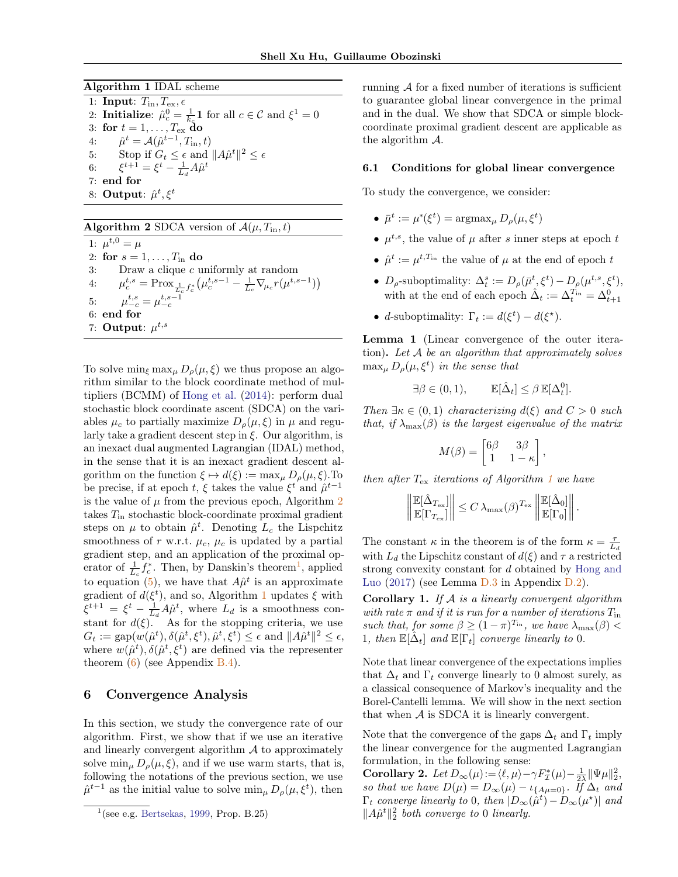Algorithm 1 IDAL scheme

<span id="page-4-3"></span>1: Input:  $T_{\text{in}}$ ,  $T_{\text{ex}}$ ,  $\epsilon$ 2: **Initialize**:  $\hat{\mu}_c^0 = \frac{1}{k_c} \mathbf{1}$  for all  $c \in \mathcal{C}$  and  $\xi^1 = 0$ 3: for  $t = 1, \ldots, T_{\mathrm{ex}}$  do 4:  $\hat{\mu}^t = \mathcal{A}(\hat{\mu}^{t-1}, T_{\text{in}}, t)$ 5: Stop if  $G_t \leq \epsilon$  and  $||A\hat{\mu}^t||^2 \leq \epsilon$ 6:  $\xi^{t+1} = \xi^t - \frac{1}{L_d} A \hat{\mu}^t$ 7: end for 8: Output:  $\hat{\mu}^t, \xi^t$ 

<span id="page-4-1"></span>Algorithm 2 SDCA version of  $\mathcal{A}(\mu, T_{\text{in}}, t)$ 1:  $\mu^{t,0} = \mu$ 2: for  $s = 1, \ldots, T_{\text{in}}$  do 3: Draw a clique c uniformly at random 4:  $\mu_c^{t,s} = \text{Prox}_{\frac{1}{L_c}f_c^*} \left( \mu_c^{t,s-1} - \frac{1}{L_c} \nabla_{\mu_c} r(\mu^{t,s-1}) \right)$ 5:  $\mu_{-c}^{t,s} = \mu_{-c}^{t,s-1}$ 6: end for 7: Output:  $\mu^{t,s}$ 

To solve  $\min_{\xi} \max_{\mu} D_{\rho}(\mu, \xi)$  we thus propose an algorithm similar to the block coordinate method of multipliers (BCMM) of [Hong et al.](#page-8-16) [\(2014\)](#page-8-16): perform dual stochastic block coordinate ascent (SDCA) on the variables  $\mu_c$  to partially maximize  $D_{\rho}(\mu, \xi)$  in  $\mu$  and regularly take a gradient descent step in  $\xi$ . Our algorithm, is an inexact dual augmented Lagrangian (IDAL) method, in the sense that it is an inexact gradient descent algorithm on the function  $\xi \mapsto d(\xi) := \max_{\mu} D_{\rho}(\mu, \xi)$ . To be precise, if at epoch t,  $\xi$  takes the value  $\xi^t$  and  $\hat{\mu}^{t-1}$ is the value of  $\mu$  from the previous epoch, Algorithm [2](#page-4-1) takes  $T_{\text{in}}$  stochastic block-coordinate proximal gradient steps on  $\mu$  to obtain  $\hat{\mu}^t$ . Denoting  $L_c$  the Lispchitz smoothness of r w.r.t.  $\mu_c$ ,  $\mu_c$  is updated by a partial gradient step, and an application of the proximal operator of  $\frac{1}{L_c} f_c^*$  $\frac{1}{L_c} f_c^*$  $\frac{1}{L_c} f_c^*$ . Then, by Danskin's theorem<sup>1</sup>, applied to equation [\(5\)](#page-3-5), we have that  $A\hat{\mu}^t$  is an approximate gradient of  $d(\xi^t)$ , and so, Algorithm [1](#page-4-3) updates  $\xi$  with  $\xi^{t+1} = \xi^t - \frac{1}{L_d} A \hat{\mu}^t$ , where  $L_d$  is a smoothness constant for  $d(\xi)$ . As for the stopping criteria, we use  $G_t := \text{gap}(w(\hat{\mu}^t), \delta(\hat{\mu}^t, \xi^t), \hat{\mu}^t, \xi^t) \le \epsilon \text{ and } ||A\hat{\mu}^t||^2 \le \epsilon,$ where  $w(\hat{\mu}^t), \delta(\hat{\mu}^t, \xi^t)$  are defined via the representer theorem  $(6)$  (see Appendix [B.4\)](#page-0-0).

## <span id="page-4-0"></span>6 Convergence Analysis

In this section, we study the convergence rate of our algorithm. First, we show that if we use an iterative and linearly convergent algorithm  $A$  to approximately solve  $\min_{\mu} D_{\rho}(\mu, \xi)$ , and if we use warm starts, that is, following the notations of the previous section, we use  $\hat{\mu}^{t-1}$  as the initial value to solve  $\min_{\mu} D_{\rho}(\mu, \xi^t)$ , then

running  $A$  for a fixed number of iterations is sufficient to guarantee global linear convergence in the primal and in the dual. We show that SDCA or simple blockcoordinate proximal gradient descent are applicable as the algorithm A.

#### 6.1 Conditions for global linear convergence

To study the convergence, we consider:

- $\bar{\mu}^t := \mu^*(\xi^t) = \arg\max_{\mu} D_{\rho}(\mu, \xi^t)$
- $\mu^{t,s}$ , the value of  $\mu$  after s inner steps at epoch t
- $\hat{\mu}^t := \mu^{t,T_{\text{in}}}$  the value of  $\mu$  at the end of epoch  $t$
- $D_{\rho}$ -suboptimality:  $\Delta_t^s := D_{\rho}(\bar{\mu}^t, \xi^t) D_{\rho}(\mu^{t,s}, \xi^t),$ with at the end of each epoch  $\hat{\Delta}_t := \Delta_t^{T_{\text{in}}} = \Delta_{t+1}^0$
- d-suboptimality:  $\Gamma_t := d(\xi^t) d(\xi^*)$ .

Lemma 1 (Linear convergence of the outer iteration). Let  $A$  be an algorithm that approximately solves  $\max_{\mu} D_{\rho}(\mu, \xi^t)$  in the sense that

$$
\exists \beta \in (0,1), \qquad \mathbb{E}[\hat{\Delta}_t] \leq \beta \, \mathbb{E}[\Delta_t^0].
$$

Then  $\exists \kappa \in (0,1)$  characterizing  $d(\xi)$  and  $C > 0$  such that, if  $\lambda_{\text{max}}(\beta)$  is the largest eigenvalue of the matrix

$$
M(\beta) = \begin{bmatrix} 6\beta & 3\beta \\ 1 & 1 - \kappa \end{bmatrix},
$$

then after  $T_{\rm ex}$  iterations of Algorithm [1](#page-4-3) we have

$$
\left\| \frac{\mathbb{E}[\hat{\Delta}_{T_{\text{ex}}}]}{\mathbb{E}[\Gamma_{T_{\text{ex}}}]} \right\| \leq C \lambda_{\max}(\beta)^{T_{\text{ex}}} \left\| \frac{\mathbb{E}[\hat{\Delta}_0]}{\mathbb{E}[\Gamma_0]} \right\|.
$$

The constant  $\kappa$  in the theorem is of the form  $\kappa = \frac{\tau}{L_d}$ with  $L_d$  the Lipschitz constant of  $d(\xi)$  and  $\tau$  a restricted strong convexity constant for d obtained by [Hong and](#page-8-22) [Luo](#page-8-22)  $(2017)$  (see Lemma  $D.3$  in Appendix  $D.2$ ).

**Corollary 1.** If  $A$  is a linearly convergent algorithm with rate  $\pi$  and if it is run for a number of iterations  $T_{\text{in}}$ such that, for some  $\beta \ge (1 - \pi)^{T_{\text{in}}}$ , we have  $\lambda_{\text{max}}(\beta)$ 1, then  $\mathbb{E}[\hat{\Delta}_t]$  and  $\mathbb{E}[\Gamma_t]$  converge linearly to 0.

Note that linear convergence of the expectations implies that  $\Delta_t$  and  $\Gamma_t$  converge linearly to 0 almost surely, as a classical consequence of Markov's inequality and the Borel-Cantelli lemma. We will show in the next section that when  $A$  is SDCA it is linearly convergent.

Note that the convergence of the gaps  $\Delta_t$  and  $\Gamma_t$  imply the linear convergence for the augmented Lagrangian formulation, in the following sense:

<span id="page-4-4"></span>Corollary 2. Let  $D_{\infty}(\mu) := \langle \ell, \mu \rangle - \gamma F_{\mathcal{I}}^*(\mu) - \frac{1}{2\lambda} ||\Psi \mu||_2^2$ , so that we have  $D(\mu) = D_{\infty}(\mu) - \iota_{\{A\mu=0\}}$ . If  $\Delta_t$  and  $\Gamma_t$  converge linearly to 0, then  $|D_\infty(\hat{\mu}^t) - D_\infty(\mu^\star)|$  and  $||A\hat{\mu}^t||_2^2$  both converge to 0 linearly.

<span id="page-4-2"></span><sup>1</sup> (see e.g. [Bertsekas,](#page-8-21) [1999,](#page-8-21) Prop. B.25)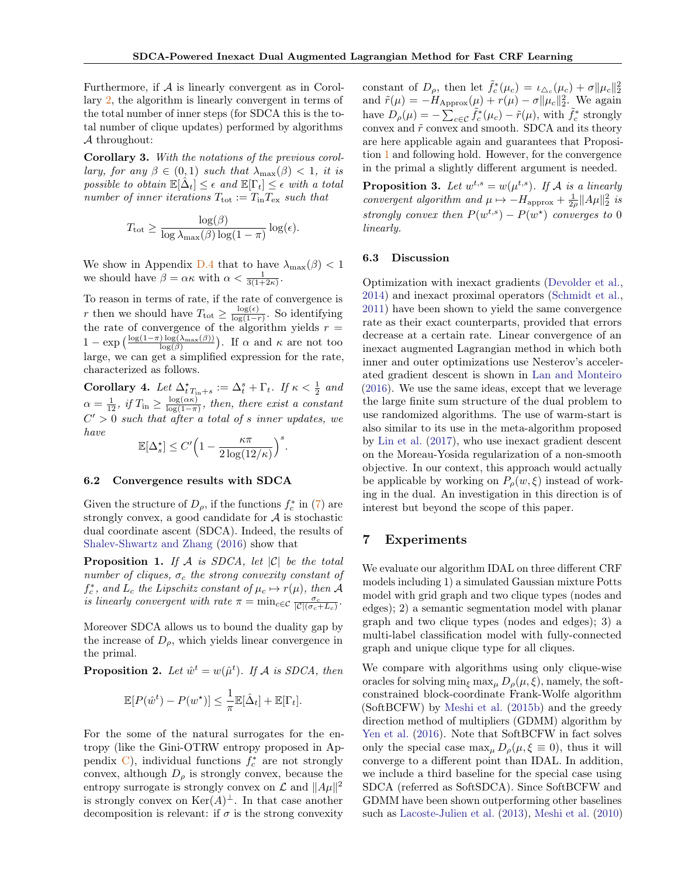Furthermore, if  $A$  is linearly convergent as in Corollary [2,](#page-4-4) the algorithm is linearly convergent in terms of the total number of inner steps (for SDCA this is the total number of clique updates) performed by algorithms A throughout:

Corollary 3. With the notations of the previous corollary, for any  $\beta \in (0,1)$  such that  $\lambda_{\max}(\beta) < 1$ , it is possible to obtain  $\mathbb{E}[\hat{\Delta}_t] \leq \epsilon$  and  $\mathbb{E}[\Gamma_t] \leq \epsilon$  with a total number of inner iterations  $T_{\text{tot}} := T_{\text{in}} T_{\text{ex}}$  such that

$$
T_{\text{tot}} \ge \frac{\log(\beta)}{\log \lambda_{\max}(\beta) \log(1-\pi)} \log(\epsilon).
$$

We show in Appendix [D.4](#page-0-0) that to have  $\lambda_{\max}(\beta) < 1$ we should have  $\beta = \alpha \kappa$  with  $\alpha < \frac{1}{3(1+2\kappa)}$ .

To reason in terms of rate, if the rate of convergence is r then we should have  $T_{\text{tot}} \geq \frac{\log(\epsilon)}{\log(1-\epsilon)}$  $\frac{\log(\epsilon)}{\log(1-r)}$ . So identifying the rate of convergence of the algorithm yields  $r =$  $1 - \exp\left(\frac{\log(1-\pi)\log(\lambda_{\max}(\beta))}{\log(\beta)}\right)$ . If  $\alpha$  and  $\kappa$  are not too large, we can get a simplified expression for the rate, characterized as follows.

Corollary 4. Let  $\Delta^*_{tT_{\text{in}}+s} := \Delta^s_t + \Gamma_t$ . If  $\kappa < \frac{1}{2}$  and  $\alpha = \frac{1}{12}$ , if  $T_{\text{in}} \geq \frac{\log(\alpha \kappa)}{\log(1 - \pi)}$  $\frac{\log(\alpha \kappa)}{\log(1-\pi)}$ , then, there exist a constant  $C' > 0$  such that after a total of s inner updates, we have

$$
\mathbb{E}[\Delta_s^\star] \leq C' \Big(1 - \frac{\kappa \pi}{2 \log(12/\kappa)} \Big)^s.
$$

#### 6.2 Convergence results with SDCA

Given the structure of  $D_{\rho}$ , if the functions  $f_c^*$  in [\(7\)](#page-3-6) are strongly convex, a good candidate for  $A$  is stochastic dual coordinate ascent (SDCA). Indeed, the results of [Shalev-Shwartz and Zhang](#page-8-2) [\(2016\)](#page-8-2) show that

<span id="page-5-1"></span>**Proposition 1.** If A is SDCA, let  $|C|$  be the total number of cliques,  $\sigma_c$  the strong convexity constant of  $f_c^*$ , and  $L_c$  the Lipschitz constant of  $\mu_c \mapsto r(\mu)$ , then A is linearly convergent with rate  $\pi = \min_{c \in \mathcal{C}} \frac{\sigma_c}{|\mathcal{C}|(\sigma_c + L_c)}$ .

Moreover SDCA allows us to bound the duality gap by the increase of  $D_{\rho}$ , which yields linear convergence in the primal.

**Proposition 2.** Let  $\hat{w}^t = w(\hat{\mu}^t)$ . If A is SDCA, then

$$
\mathbb{E}[P(\hat{w}^t) - P(w^\star)] \leq \frac{1}{\pi} \mathbb{E}[\hat{\Delta}_t] + \mathbb{E}[\Gamma_t].
$$

For the some of the natural surrogates for the entropy (like the Gini-OTRW entropy proposed in Appendix  $\mathcal{C}$ ), individual functions  $f_c^*$  are not strongly convex, although  $D_{\rho}$  is strongly convex, because the entropy surrogate is strongly convex on  $\mathcal L$  and  $||A\mu||^2$ is strongly convex on  $\text{Ker}(A)^{\perp}$ . In that case another decomposition is relevant: if  $\sigma$  is the strong convexity

constant of  $D_{\rho}$ , then let  $\tilde{f}_c^*(\mu_c) = \iota_{\Delta_c}(\mu_c) + \sigma \|\mu_c\|_2^2$ and  $\tilde{r}(\mu) = -H_{\text{Approx}}(\mu) + r(\mu) - \sigma \|\mu_c\|_2^2$ . We again have  $D_{\rho}(\mu) = -\sum_{c \in \mathcal{C}} \tilde{f}_c^*(\mu_c) - \tilde{r}(\mu)$ , with  $\tilde{f}_c^*$  strongly convex and  $\tilde{r}$  convex and smooth. SDCA and its theory are here applicable again and guarantees that Proposition [1](#page-5-1) and following hold. However, for the convergence in the primal a slightly different argument is needed.

**Proposition 3.** Let  $w^{t,s} = w(\mu^{t,s})$ . If A is a linearly convergent algorithm and  $\mu \mapsto -H_{\text{approx}} + \frac{1}{2\rho} ||A\mu||_2^2$  is strongly convex then  $P(w^{t,s}) - P(w^{\star})$  converges to 0 linearly.

## 6.3 Discussion

Optimization with inexact gradients [\(Devolder et al.,](#page-8-23) [2014\)](#page-8-23) and inexact proximal operators [\(Schmidt et al.,](#page-8-24) [2011\)](#page-8-24) have been shown to yield the same convergence rate as their exact counterparts, provided that errors decrease at a certain rate. Linear convergence of an inexact augmented Lagrangian method in which both inner and outer optimizations use Nesterov's accelerated gradient descent is shown in [Lan and Monteiro](#page-8-25) [\(2016\)](#page-8-25). We use the same ideas, except that we leverage the large finite sum structure of the dual problem to use randomized algorithms. The use of warm-start is also similar to its use in the meta-algorithm proposed by [Lin et al.](#page-8-26) [\(2017\)](#page-8-26), who use inexact gradient descent on the Moreau-Yosida regularization of a non-smooth objective. In our context, this approach would actually be applicable by working on  $P_{\rho}(w,\xi)$  instead of working in the dual. An investigation in this direction is of interest but beyond the scope of this paper.

## <span id="page-5-0"></span>7 Experiments

We evaluate our algorithm IDAL on three different CRF models including 1) a simulated Gaussian mixture Potts model with grid graph and two clique types (nodes and edges); 2) a semantic segmentation model with planar graph and two clique types (nodes and edges); 3) a multi-label classification model with fully-connected graph and unique clique type for all cliques.

We compare with algorithms using only clique-wise oracles for solving  $\min_{\xi} \max_{\mu} D_{\rho}(\mu, \xi)$ , namely, the softconstrained block-coordinate Frank-Wolfe algorithm (SoftBCFW) by [Meshi et al.](#page-8-4) [\(2015b\)](#page-8-4) and the greedy direction method of multipliers (GDMM) algorithm by [Yen et al.](#page-9-2) [\(2016\)](#page-9-2). Note that SoftBCFW in fact solves only the special case  $\max_{\mu} D_{\rho}(\mu, \xi \equiv 0)$ , thus it will converge to a different point than IDAL. In addition, we include a third baseline for the special case using SDCA (referred as SoftSDCA). Since SoftBCFW and GDMM have been shown outperforming other baselines such as [Lacoste-Julien et al.](#page-8-9) [\(2013\)](#page-8-9), [Meshi et al.](#page-8-12) [\(2010\)](#page-8-12)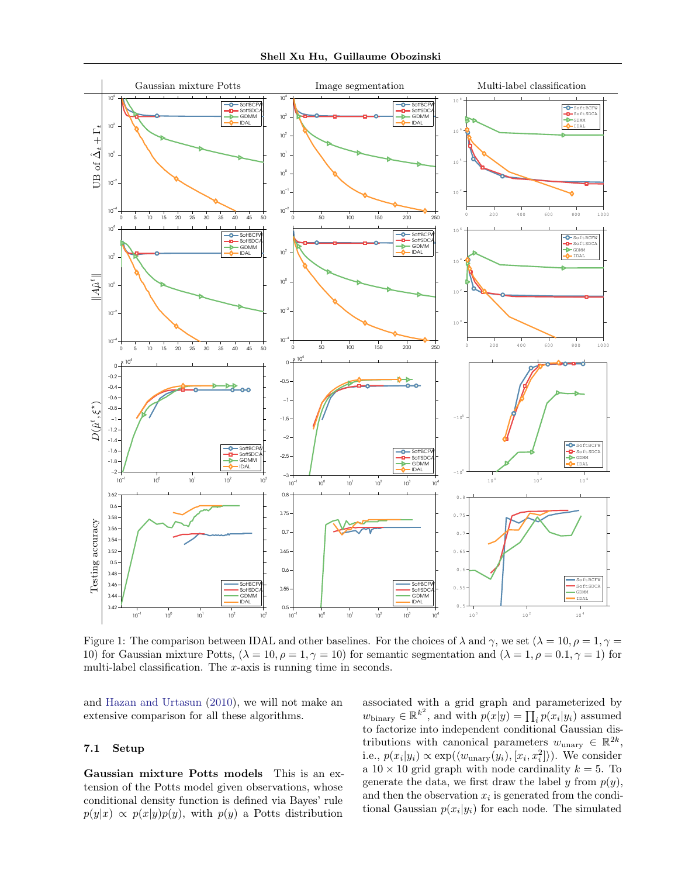

Figure 1: The comparison between IDAL and other baselines. For the choices of  $\lambda$  and  $\gamma$ , we set  $(\lambda = 10, \rho = 1, \gamma = 1)$ 10) for Gaussian mixture Potts,  $(\lambda = 10, \rho = 1, \gamma = 10)$  for semantic segmentation and  $(\lambda = 1, \rho = 0.1, \gamma = 1)$  for multi-label classification. The  $x$ -axis is running time in seconds.

and [Hazan and Urtasun](#page-8-10) [\(2010\)](#page-8-10), we will not make an extensive comparison for all these algorithms.

## 7.1 Setup

Gaussian mixture Potts models This is an extension of the Potts model given observations, whose conditional density function is defined via Bayes' rule  $p(y|x) \propto p(x|y)p(y)$ , with  $p(y)$  a Potts distribution <span id="page-6-0"></span>associated with a grid graph and parameterized by  $w_{\text{binary}} \in \mathbb{R}^{k^2}$ , and with  $p(x|y) = \prod_i p(x_i|y_i)$  assumed to factorize into independent conditional Gaussian distributions with canonical parameters  $w_{\text{unary}} \in \mathbb{R}^{2k}$ , i.e.,  $p(x_i|y_i) \propto \exp(\langle w_{\text{unary}}(y_i), [x_i, x_i^2] \rangle)$ . We consider a  $10 \times 10$  grid graph with node cardinality  $k = 5$ . To generate the data, we first draw the label y from  $p(y)$ , and then the observation  $x_i$  is generated from the conditional Gaussian  $p(x_i|y_i)$  for each node. The simulated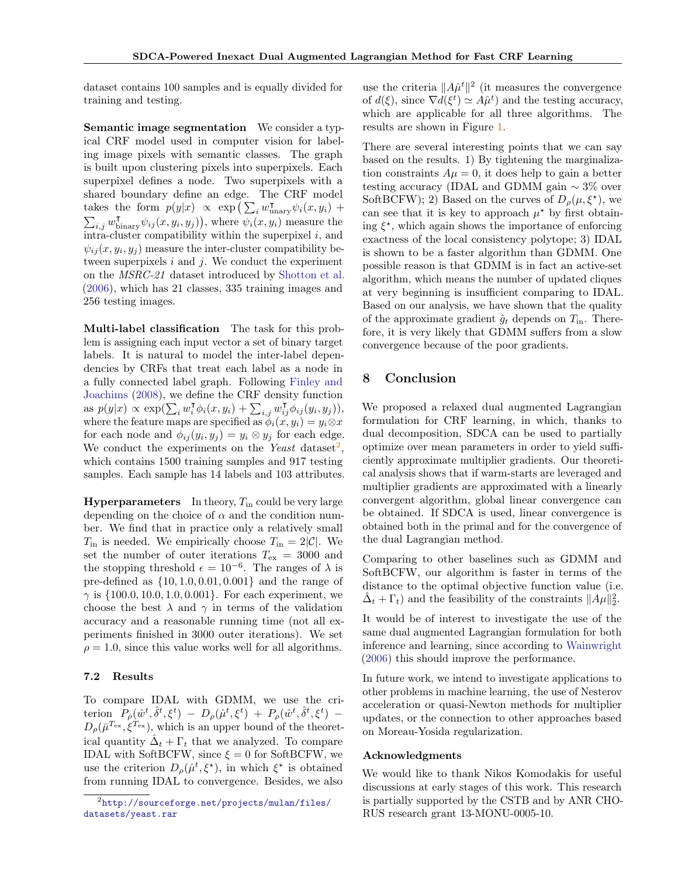dataset contains 100 samples and is equally divided for training and testing.

Semantic image segmentation We consider a typical CRF model used in computer vision for labeling image pixels with semantic classes. The graph is built upon clustering pixels into superpixels. Each superpixel defines a node. Two superpixels with a shared boundary define an edge. The CRF model takes the form  $p(y|x) \propto \exp\left(\sum_i w_{\text{unary}}^{\mathsf{T}} \psi_i(x, y_i) + \right)$  $\sum_{i,j} w_{\text{binary}}^{\intercal} \psi_{ij}(x, y_i, y_j)$ , where  $\psi_i(x, y_i)$  measure the intra-cluster compatibility within the superpixel  $i$ , and  $\psi_{ij}(x, y_i, y_j)$  measure the inter-cluster compatibility between superpixels  $i$  and  $j$ . We conduct the experiment on the MSRC-21 dataset introduced by [Shotton et al.](#page-8-27) [\(2006\)](#page-8-27), which has 21 classes, 335 training images and 256 testing images.

Multi-label classification The task for this problem is assigning each input vector a set of binary target labels. It is natural to model the inter-label dependencies by CRFs that treat each label as a node in a fully connected label graph. Following [Finley and](#page-8-28) [Joachims](#page-8-28) [\(2008\)](#page-8-28), we define the CRF density function as  $p(y|x) \propto \exp(\sum_i w_i^{\mathsf{T}} \phi_i(x, y_i) + \sum_{i,j} w_{ij}^{\mathsf{T}} \phi_{ij}(y_i, y_j)),$ where the feature maps are specified as  $\phi_i(x, y_i) = y_i \otimes x$ for each node and  $\phi_{ij}(y_i, y_j) = y_i \otimes y_j$  for each edge. We conduct the experiments on the Yeast dataset<sup>[2](#page-7-0)</sup>, which contains 1500 training samples and 917 testing samples. Each sample has 14 labels and 103 attributes.

**Hyperparameters** In theory,  $T_{\text{in}}$  could be very large depending on the choice of  $\alpha$  and the condition number. We find that in practice only a relatively small  $T_{\text{in}}$  is needed. We empirically choose  $T_{\text{in}} = 2|\mathcal{C}|$ . We set the number of outer iterations  $T_{\text{ex}} = 3000$  and the stopping threshold  $\epsilon = 10^{-6}$ . The ranges of  $\lambda$  is pre-defined as  $\{10, 1.0, 0.01, 0.001\}$  and the range of  $\gamma$  is  $\{100.0, 10.0, 1.0, 0.001\}$ . For each experiment, we choose the best  $\lambda$  and  $\gamma$  in terms of the validation accuracy and a reasonable running time (not all experiments finished in 3000 outer iterations). We set  $\rho = 1.0$ , since this value works well for all algorithms.

#### 7.2 Results

To compare IDAL with GDMM, we use the criterion  $P_{\rho}(\hat{w}^t, \hat{\delta}^t, \xi^t) - D_{\rho}(\hat{\mu}^t, \xi^t) + P_{\rho}(\hat{w}^t, \hat{\delta}^t, \xi^t) D_{\rho}(\bar{\mu}^{T_{\rm ex}}, \xi^{T_{\rm ex}})$ , which is an upper bound of the theoretical quantity  $\hat{\Delta}_t + \Gamma_t$  that we analyzed. To compare IDAL with SoftBCFW, since  $\xi = 0$  for SoftBCFW, we use the criterion  $D_{\rho}(\hat{\mu}^t, \xi^*)$ , in which  $\xi^*$  is obtained from running IDAL to convergence. Besides, we also

use the criteria  $||A\hat{\mu}^t||^2$  (it measures the convergence of  $d(\xi)$ , since  $\nabla d(\xi^t) \simeq A\hat{\mu}^t$  and the testing accuracy, which are applicable for all three algorithms. The results are shown in Figure [1.](#page-6-0)

There are several interesting points that we can say based on the results. 1) By tightening the marginalization constraints  $A\mu = 0$ , it does help to gain a better testing accuracy (IDAL and GDMM gain ∼ 3% over SoftBCFW); 2) Based on the curves of  $D_{\rho}(\mu, \xi^*)$ , we can see that it is key to approach  $\mu^*$  by first obtaining  $\xi^*$ , which again shows the importance of enforcing exactness of the local consistency polytope; 3) IDAL is shown to be a faster algorithm than GDMM. One possible reason is that GDMM is in fact an active-set algorithm, which means the number of updated cliques at very beginning is insufficient comparing to IDAL. Based on our analysis, we have shown that the quality of the approximate gradient  $\hat{g}_t$  depends on  $T_{\text{in}}$ . Therefore, it is very likely that GDMM suffers from a slow convergence because of the poor gradients.

# 8 Conclusion

We proposed a relaxed dual augmented Lagrangian formulation for CRF learning, in which, thanks to dual decomposition, SDCA can be used to partially optimize over mean parameters in order to yield sufficiently approximate multiplier gradients. Our theoretical analysis shows that if warm-starts are leveraged and multiplier gradients are approximated with a linearly convergent algorithm, global linear convergence can be obtained. If SDCA is used, linear convergence is obtained both in the primal and for the convergence of the dual Lagrangian method.

Comparing to other baselines such as GDMM and SoftBCFW, our algorithm is faster in terms of the distance to the optimal objective function value (i.e.  $\hat{\Delta}_t + \Gamma_t$ ) and the feasibility of the constraints  $||A\mu||_2^2$ .

It would be of interest to investigate the use of the same dual augmented Lagrangian formulation for both inference and learning, since according to [Wainwright](#page-9-6) [\(2006\)](#page-9-6) this should improve the performance.

In future work, we intend to investigate applications to other problems in machine learning, the use of Nesterov acceleration or quasi-Newton methods for multiplier updates, or the connection to other approaches based on Moreau-Yosida regularization.

## Acknowledgments

We would like to thank Nikos Komodakis for useful discussions at early stages of this work. This research is partially supported by the CSTB and by ANR CHO-RUS research grant 13-MONU-0005-10.

<span id="page-7-0"></span><sup>2</sup> [http://sourceforge.net/projects/mulan/files/](http://sourceforge.net/projects/mulan/files/datasets/yeast.rar) [datasets/yeast.rar](http://sourceforge.net/projects/mulan/files/datasets/yeast.rar)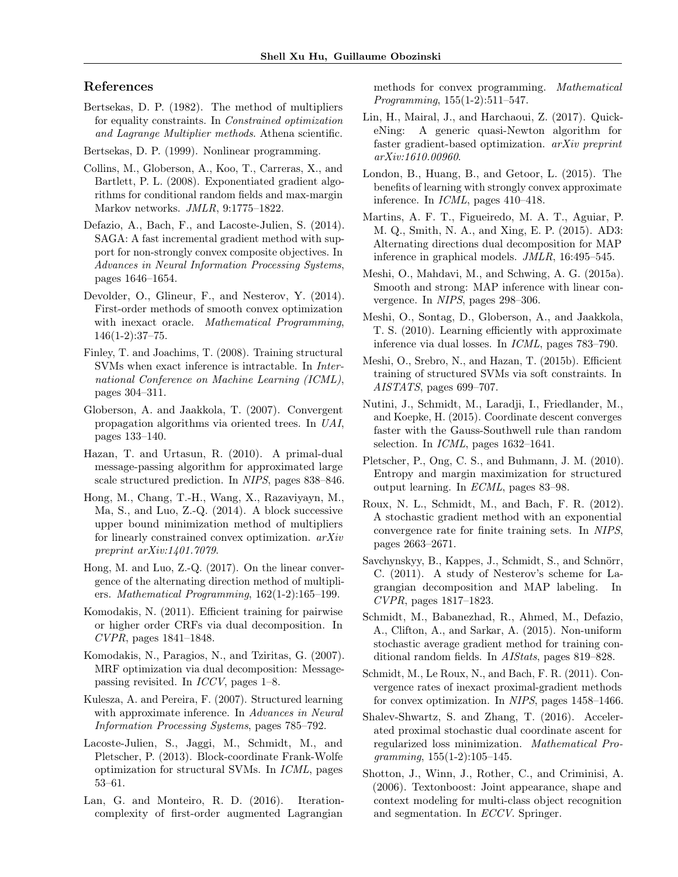# References

- <span id="page-8-18"></span>Bertsekas, D. P. (1982). The method of multipliers for equality constraints. In Constrained optimization and Lagrange Multiplier methods. Athena scientific.
- <span id="page-8-21"></span>Bertsekas, D. P. (1999). Nonlinear programming.
- <span id="page-8-13"></span>Collins, M., Globerson, A., Koo, T., Carreras, X., and Bartlett, P. L. (2008). Exponentiated gradient algorithms for conditional random fields and max-margin Markov networks. JMLR, 9:1775–1822.
- <span id="page-8-0"></span>Defazio, A., Bach, F., and Lacoste-Julien, S. (2014). SAGA: A fast incremental gradient method with support for non-strongly convex composite objectives. In Advances in Neural Information Processing Systems, pages 1646–1654.
- <span id="page-8-23"></span>Devolder, O., Glineur, F., and Nesterov, Y. (2014). First-order methods of smooth convex optimization with inexact oracle. Mathematical Programming, 146(1-2):37–75.
- <span id="page-8-28"></span>Finley, T. and Joachims, T. (2008). Training structural SVMs when exact inference is intractable. In International Conference on Machine Learning (ICML), pages 304–311.
- <span id="page-8-20"></span>Globerson, A. and Jaakkola, T. (2007). Convergent propagation algorithms via oriented trees. In UAI, pages 133–140.
- <span id="page-8-10"></span>Hazan, T. and Urtasun, R. (2010). A primal-dual message-passing algorithm for approximated large scale structured prediction. In NIPS, pages 838–846.
- <span id="page-8-16"></span>Hong, M., Chang, T.-H., Wang, X., Razaviyayn, M., Ma, S., and Luo, Z.-Q. (2014). A block successive upper bound minimization method of multipliers for linearly constrained convex optimization. arXiv preprint arXiv:1401.7079.
- <span id="page-8-22"></span>Hong, M. and Luo, Z.-Q. (2017). On the linear convergence of the alternating direction method of multipliers. Mathematical Programming, 162(1-2):165–199.
- <span id="page-8-11"></span>Komodakis, N. (2011). Efficient training for pairwise or higher order CRFs via dual decomposition. In CVPR, pages 1841–1848.
- <span id="page-8-5"></span>Komodakis, N., Paragios, N., and Tziritas, G. (2007). MRF optimization via dual decomposition: Messagepassing revisited. In ICCV, pages 1–8.
- <span id="page-8-8"></span>Kulesza, A. and Pereira, F. (2007). Structured learning with approximate inference. In Advances in Neural Information Processing Systems, pages 785–792.
- <span id="page-8-9"></span>Lacoste-Julien, S., Jaggi, M., Schmidt, M., and Pletscher, P. (2013). Block-coordinate Frank-Wolfe optimization for structural SVMs. In ICML, pages 53–61.
- <span id="page-8-25"></span>Lan, G. and Monteiro, R. D. (2016). Iterationcomplexity of first-order augmented Lagrangian

methods for convex programming. Mathematical Programming, 155(1-2):511–547.

- <span id="page-8-26"></span>Lin, H., Mairal, J., and Harchaoui, Z. (2017). QuickeNing: A generic quasi-Newton algorithm for faster gradient-based optimization. arXiv preprint arXiv:1610.00960.
- <span id="page-8-19"></span>London, B., Huang, B., and Getoor, L. (2015). The benefits of learning with strongly convex approximate inference. In ICML, pages 410–418.
- <span id="page-8-6"></span>Martins, A. F. T., Figueiredo, M. A. T., Aguiar, P. M. Q., Smith, N. A., and Xing, E. P. (2015). AD3: Alternating directions dual decomposition for MAP inference in graphical models. JMLR, 16:495–545.
- <span id="page-8-3"></span>Meshi, O., Mahdavi, M., and Schwing, A. G. (2015a). Smooth and strong: MAP inference with linear convergence. In NIPS, pages 298–306.
- <span id="page-8-12"></span>Meshi, O., Sontag, D., Globerson, A., and Jaakkola, T. S. (2010). Learning efficiently with approximate inference via dual losses. In ICML, pages 783–790.
- <span id="page-8-4"></span>Meshi, O., Srebro, N., and Hazan, T. (2015b). Efficient training of structured SVMs via soft constraints. In AISTATS, pages 699–707.
- <span id="page-8-15"></span>Nutini, J., Schmidt, M., Laradji, I., Friedlander, M., and Koepke, H. (2015). Coordinate descent converges faster with the Gauss-Southwell rule than random selection. In *ICML*, pages 1632–1641.
- <span id="page-8-17"></span>Pletscher, P., Ong, C. S., and Buhmann, J. M. (2010). Entropy and margin maximization for structured output learning. In ECML, pages 83–98.
- <span id="page-8-1"></span>Roux, N. L., Schmidt, M., and Bach, F. R. (2012). A stochastic gradient method with an exponential convergence rate for finite training sets. In NIPS, pages 2663–2671.
- <span id="page-8-7"></span>Savchynskyy, B., Kappes, J., Schmidt, S., and Schnörr, C. (2011). A study of Nesterov's scheme for Lagrangian decomposition and MAP labeling. In CVPR, pages 1817–1823.
- <span id="page-8-14"></span>Schmidt, M., Babanezhad, R., Ahmed, M., Defazio, A., Clifton, A., and Sarkar, A. (2015). Non-uniform stochastic average gradient method for training conditional random fields. In AIStats, pages 819–828.
- <span id="page-8-24"></span>Schmidt, M., Le Roux, N., and Bach, F. R. (2011). Convergence rates of inexact proximal-gradient methods for convex optimization. In NIPS, pages 1458–1466.
- <span id="page-8-2"></span>Shalev-Shwartz, S. and Zhang, T. (2016). Accelerated proximal stochastic dual coordinate ascent for regularized loss minimization. Mathematical Programming, 155(1-2):105–145.
- <span id="page-8-27"></span>Shotton, J., Winn, J., Rother, C., and Criminisi, A. (2006). Textonboost: Joint appearance, shape and context modeling for multi-class object recognition and segmentation. In ECCV. Springer.